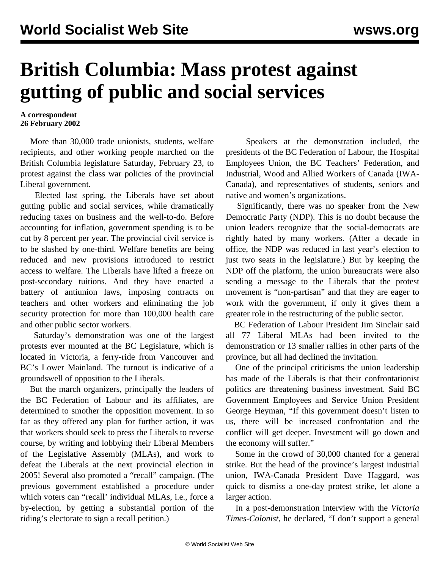## **British Columbia: Mass protest against gutting of public and social services**

## **A correspondent 26 February 2002**

 More than 30,000 trade unionists, students, welfare recipients, and other working people marched on the British Columbia legislature Saturday, February 23, to protest against the class war policies of the provincial Liberal government.

 Elected last spring, the Liberals have set about gutting public and social services, while dramatically reducing taxes on business and the well-to-do. Before accounting for inflation, government spending is to be cut by 8 percent per year. The provincial civil service is to be slashed by one-third. Welfare benefits are being reduced and new provisions introduced to restrict access to welfare. The Liberals have lifted a freeze on post-secondary tuitions. And they have enacted a battery of antiunion laws, imposing contracts on teachers and other workers and eliminating the job security protection for more than 100,000 health care and other public sector workers.

 Saturday's demonstration was one of the largest protests ever mounted at the BC Legislature, which is located in Victoria, a ferry-ride from Vancouver and BC's Lower Mainland. The turnout is indicative of a groundswell of opposition to the Liberals.

 But the march organizers, principally the leaders of the BC Federation of Labour and its affiliates, are determined to smother the opposition movement. In so far as they offered any plan for further action, it was that workers should seek to press the Liberals to reverse course, by writing and lobbying their Liberal Members of the Legislative Assembly (MLAs), and work to defeat the Liberals at the next provincial election in 2005! Several also promoted a "recall" campaign. (The previous government established a procedure under which voters can "recall' individual MLAs, i.e., force a by-election, by getting a substantial portion of the riding's electorate to sign a recall petition.)

 Speakers at the demonstration included, the presidents of the BC Federation of Labour, the Hospital Employees Union, the BC Teachers' Federation, and Industrial, Wood and Allied Workers of Canada (IWA-Canada), and representatives of students, seniors and native and women's organizations.

 Significantly, there was no speaker from the New Democratic Party (NDP). This is no doubt because the union leaders recognize that the social-democrats are rightly hated by many workers. (After a decade in office, the NDP was reduced in last year's election to just two seats in the legislature.) But by keeping the NDP off the platform, the union bureaucrats were also sending a message to the Liberals that the protest movement is "non-partisan" and that they are eager to work with the government, if only it gives them a greater role in the restructuring of the public sector.

 BC Federation of Labour President Jim Sinclair said all 77 Liberal MLAs had been invited to the demonstration or 13 smaller rallies in other parts of the province, but all had declined the invitation.

 One of the principal criticisms the union leadership has made of the Liberals is that their confrontationist politics are threatening business investment. Said BC Government Employees and Service Union President George Heyman, "If this government doesn't listen to us, there will be increased confrontation and the conflict will get deeper. Investment will go down and the economy will suffer."

 Some in the crowd of 30,000 chanted for a general strike. But the head of the province's largest industrial union, IWA-Canada President Dave Haggard, was quick to dismiss a one-day protest strike, let alone a larger action.

 In a post-demonstration interview with the *Victoria Times-Colonist*, he declared, "I don't support a general